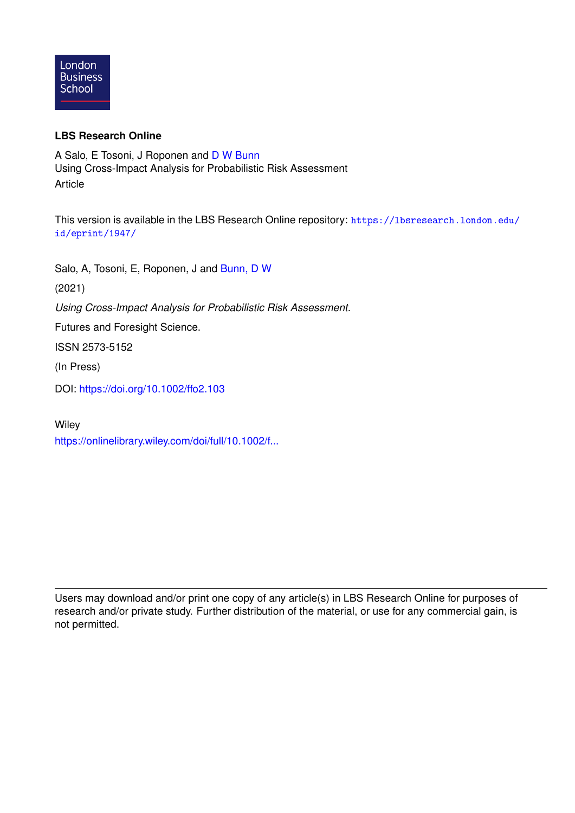

## **LBS Research Online**

A Salo, E Tosoni, J Roponen and [D W Bunn](https://lbsresearch.london.edu/view/lbs_authors/200683.html) Using Cross-Impact Analysis for Probabilistic Risk Assessment Article

This version is available in the LBS Research Online repository: [https://lbsresearch.london.edu/](https://lbsresearch.london.edu/id/eprint/1947/) [id/eprint/1947/](https://lbsresearch.london.edu/id/eprint/1947/)

Salo, A, Tosoni, E, Roponen, J and [Bunn, D W](https://lbsresearch.london.edu/view/lbs_authors/200683.html)

(2021)

*Using Cross-Impact Analysis for Probabilistic Risk Assessment.*

Futures and Foresight Science.

ISSN 2573-5152

(In Press)

DOI: <https://doi.org/10.1002/ffo2.103>

**Wiley** 

[https://onlinelibrary.wiley.com/doi/full/10.1002/f...](https://onlinelibrary.wiley.com/doi/full/10.1002/ffo2.103)

Users may download and/or print one copy of any article(s) in LBS Research Online for purposes of research and/or private study. Further distribution of the material, or use for any commercial gain, is not permitted.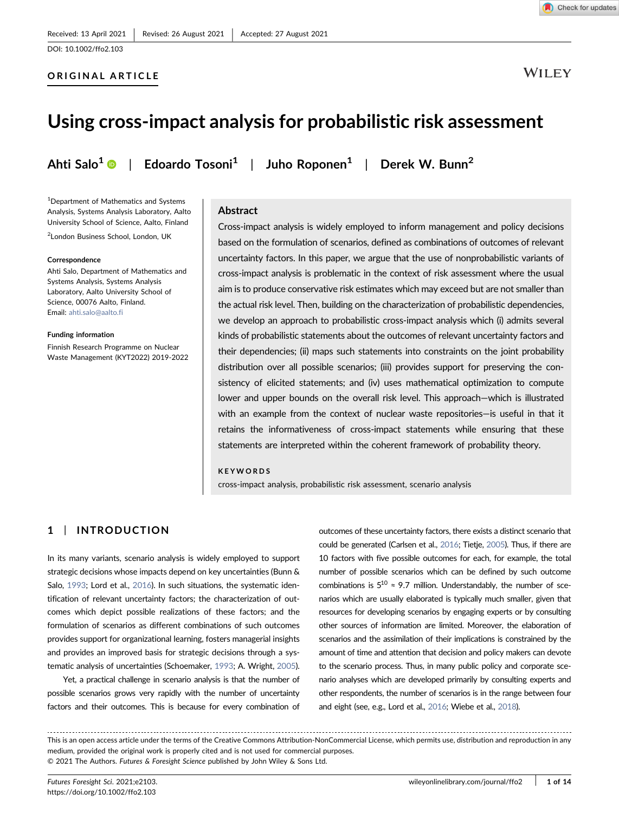#### ORIGINAL ARTICLE

**WILEY** 

# Using cross‐impact analysis for probabilistic risk assessment

Ahti Salo<sup>[1](http://orcid.org/0000-0003-1526-7923)</sup>  $\odot$  | Edoardo Tosoni<sup>1</sup> | Juho Roponen<sup>1</sup> | Derek W. Bunn<sup>2</sup>

1 Department of Mathematics and Systems Analysis, Systems Analysis Laboratory, Aalto University School of Science, Aalto, Finland

<sup>2</sup>London Business School, London, UK

#### **Correspondence**

Ahti Salo, Department of Mathematics and Systems Analysis, Systems Analysis Laboratory, Aalto University School of Science, 00076 Aalto, Finland. Email: [ahti.salo@aalto.fi](mailto:ahti.salo@aalto.fi)

#### Funding information

Finnish Research Programme on Nuclear Waste Management (KYT2022) 2019‐2022

#### Abstract

Cross‐impact analysis is widely employed to inform management and policy decisions based on the formulation of scenarios, defined as combinations of outcomes of relevant uncertainty factors. In this paper, we argue that the use of nonprobabilistic variants of cross‐impact analysis is problematic in the context of risk assessment where the usual aim is to produce conservative risk estimates which may exceed but are not smaller than the actual risk level. Then, building on the characterization of probabilistic dependencies, we develop an approach to probabilistic cross-impact analysis which (i) admits several kinds of probabilistic statements about the outcomes of relevant uncertainty factors and their dependencies; (ii) maps such statements into constraints on the joint probability distribution over all possible scenarios; (iii) provides support for preserving the consistency of elicited statements; and (iv) uses mathematical optimization to compute lower and upper bounds on the overall risk level. This approach—which is illustrated with an example from the context of nuclear waste repositories—is useful in that it retains the informativeness of cross-impact statements while ensuring that these statements are interpreted within the coherent framework of probability theory.

#### KEYWORDS

cross‐impact analysis, probabilistic risk assessment, scenario analysis

### 1 | INTRODUCTION

In its many variants, scenario analysis is widely employed to support strategic decisions whose impacts depend on key uncertainties (Bunn & Salo, [1993;](#page-13-0) Lord et al., [2016\)](#page-14-0). In such situations, the systematic identification of relevant uncertainty factors; the characterization of outcomes which depict possible realizations of these factors; and the formulation of scenarios as different combinations of such outcomes provides support for organizational learning, fosters managerial insights and provides an improved basis for strategic decisions through a systematic analysis of uncertainties (Schoemaker, [1993](#page-14-1); A. Wright, [2005\)](#page-14-2).

Yet, a practical challenge in scenario analysis is that the number of possible scenarios grows very rapidly with the number of uncertainty factors and their outcomes. This is because for every combination of outcomes of these uncertainty factors, there exists a distinct scenario that could be generated (Carlsen et al., [2016](#page-13-1); Tietje, [2005\)](#page-14-3). Thus, if there are 10 factors with five possible outcomes for each, for example, the total number of possible scenarios which can be defined by such outcome combinations is  $5^{10} \approx 9.7$  million. Understandably, the number of scenarios which are usually elaborated is typically much smaller, given that resources for developing scenarios by engaging experts or by consulting other sources of information are limited. Moreover, the elaboration of scenarios and the assimilation of their implications is constrained by the amount of time and attention that decision and policy makers can devote to the scenario process. Thus, in many public policy and corporate scenario analyses which are developed primarily by consulting experts and other respondents, the number of scenarios is in the range between four and eight (see, e.g., Lord et al., [2016;](#page-14-0) Wiebe et al., [2018\)](#page-14-4).

This is an open access article under the terms of the Creative Commons Attribution‐NonCommercial License, which permits use, distribution and reproduction in any medium, provided the original work is properly cited and is not used for commercial purposes. © 2021 The Authors. Futures & Foresight Science published by John Wiley & Sons Ltd.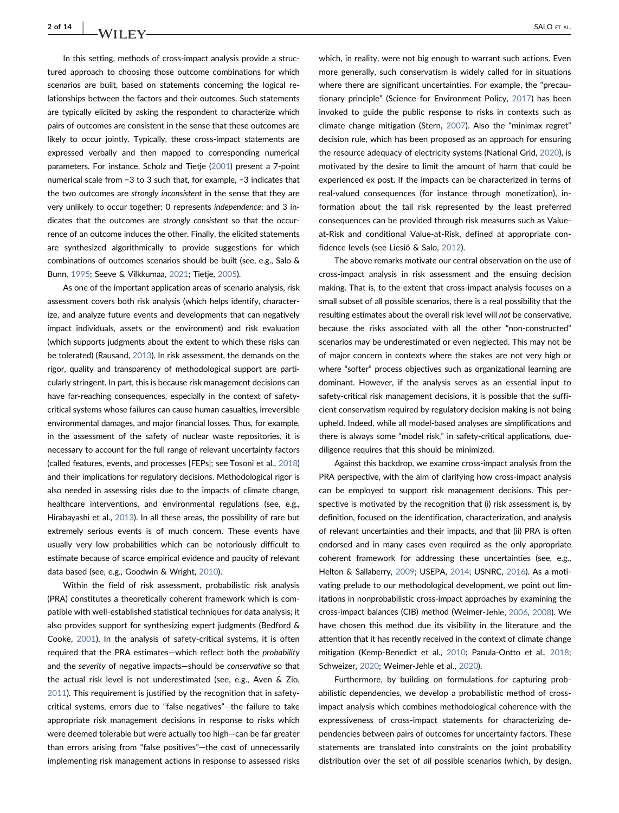## $2$  of  $14$   $N/I$  if  $\mathbb{E}[N]$

In this setting, methods of cross-impact analysis provide a structured approach to choosing those outcome combinations for which scenarios are built, based on statements concerning the logical relationships between the factors and their outcomes. Such statements are typically elicited by asking the respondent to characterize which pairs of outcomes are consistent in the sense that these outcomes are likely to occur jointly. Typically, these cross-impact statements are expressed verbally and then mapped to corresponding numerical parameters. For instance, Scholz and Tietje [\(2001\)](#page-14-5) present a 7‐point numerical scale from −3 to 3 such that, for example, −3 indicates that the two outcomes are strongly inconsistent in the sense that they are very unlikely to occur together; 0 represents independence; and 3 indicates that the outcomes are strongly consistent so that the occurrence of an outcome induces the other. Finally, the elicited statements are synthesized algorithmically to provide suggestions for which combinations of outcomes scenarios should be built (see, e.g., Salo & Bunn, [1995;](#page-14-6) Seeve & Vilkkumaa, [2021](#page-14-7); Tietje, [2005\)](#page-14-3).

As one of the important application areas of scenario analysis, risk assessment covers both risk analysis (which helps identify, characterize, and analyze future events and developments that can negatively impact individuals, assets or the environment) and risk evaluation (which supports judgments about the extent to which these risks can be tolerated) (Rausand, [2013\)](#page-14-8). In risk assessment, the demands on the rigor, quality and transparency of methodological support are particularly stringent. In part, this is because risk management decisions can have far-reaching consequences, especially in the context of safetycritical systems whose failures can cause human casualties, irreversible environmental damages, and major financial losses. Thus, for example, in the assessment of the safety of nuclear waste repositories, it is necessary to account for the full range of relevant uncertainty factors (called features, events, and processes [FEPs]; see Tosoni et al., [2018](#page-14-9)) and their implications for regulatory decisions. Methodological rigor is also needed in assessing risks due to the impacts of climate change, healthcare interventions, and environmental regulations (see, e.g., Hirabayashi et al., [2013\)](#page-13-2). In all these areas, the possibility of rare but extremely serious events is of much concern. These events have usually very low probabilities which can be notoriously difficult to estimate because of scarce empirical evidence and paucity of relevant data based (see, e.g., Goodwin & Wright, [2010\)](#page-13-3).

Within the field of risk assessment, probabilistic risk analysis (PRA) constitutes a theoretically coherent framework which is compatible with well‐established statistical techniques for data analysis; it also provides support for synthesizing expert judgments (Bedford & Cooke, [2001](#page-13-4)). In the analysis of safety‐critical systems, it is often required that the PRA estimates—which reflect both the probability and the severity of negative impacts—should be conservative so that the actual risk level is not underestimated (see, e.g., Aven & Zio, [2011](#page-13-5)). This requirement is justified by the recognition that in safety‐ critical systems, errors due to "false negatives"—the failure to take appropriate risk management decisions in response to risks which were deemed tolerable but were actually too high—can be far greater than errors arising from "false positives"—the cost of unnecessarily implementing risk management actions in response to assessed risks which, in reality, were not big enough to warrant such actions. Even more generally, such conservatism is widely called for in situations where there are significant uncertainties. For example, the "precautionary principle" (Science for Environment Policy, [2017](#page-14-10)) has been invoked to guide the public response to risks in contexts such as climate change mitigation (Stern, [2007\)](#page-14-11). Also the "minimax regret" decision rule, which has been proposed as an approach for ensuring the resource adequacy of electricity systems (National Grid, [2020](#page-14-12)), is motivated by the desire to limit the amount of harm that could be experienced ex post. If the impacts can be characterized in terms of real‐valued consequences (for instance through monetization), information about the tail risk represented by the least preferred consequences can be provided through risk measures such as Value‐ at‐Risk and conditional Value‐at‐Risk, defined at appropriate confidence levels (see Liesiö & Salo, [2012\)](#page-14-13).

The above remarks motivate our central observation on the use of cross‐impact analysis in risk assessment and the ensuing decision making. That is, to the extent that cross-impact analysis focuses on a small subset of all possible scenarios, there is a real possibility that the resulting estimates about the overall risk level will not be conservative, because the risks associated with all the other "non-constructed" scenarios may be underestimated or even neglected. This may not be of major concern in contexts where the stakes are not very high or where "softer" process objectives such as organizational learning are dominant. However, if the analysis serves as an essential input to safety-critical risk management decisions, it is possible that the sufficient conservatism required by regulatory decision making is not being upheld. Indeed, while all model‐based analyses are simplifications and there is always some "model risk," in safety‐critical applications, due‐ diligence requires that this should be minimized.

Against this backdrop, we examine cross‐impact analysis from the PRA perspective, with the aim of clarifying how cross-impact analysis can be employed to support risk management decisions. This perspective is motivated by the recognition that (i) risk assessment is, by definition, focused on the identification, characterization, and analysis of relevant uncertainties and their impacts, and that (ii) PRA is often endorsed and in many cases even required as the only appropriate coherent framework for addressing these uncertainties (see, e.g., Helton & Sallaberry, [2009;](#page-13-6) USEPA, [2014](#page-14-14); USNRC, [2016\)](#page-14-15). As a motivating prelude to our methodological development, we point out limitations in nonprobabilistic cross-impact approaches by examining the cross‐impact balances (CIB) method (Weimer‐Jehle, [2006,](#page-14-16) [2008\)](#page-14-17). We have chosen this method due its visibility in the literature and the attention that it has recently received in the context of climate change mitigation (Kemp‐Benedict et al., [2010;](#page-13-7) Panula‐Ontto et al., [2018;](#page-14-18) Schweizer, [2020;](#page-14-19) Weimer‐Jehle et al., [2020](#page-14-20)).

Furthermore, by building on formulations for capturing probabilistic dependencies, we develop a probabilistic method of cross‐ impact analysis which combines methodological coherence with the expressiveness of cross-impact statements for characterizing dependencies between pairs of outcomes for uncertainty factors. These statements are translated into constraints on the joint probability distribution over the set of all possible scenarios (which, by design,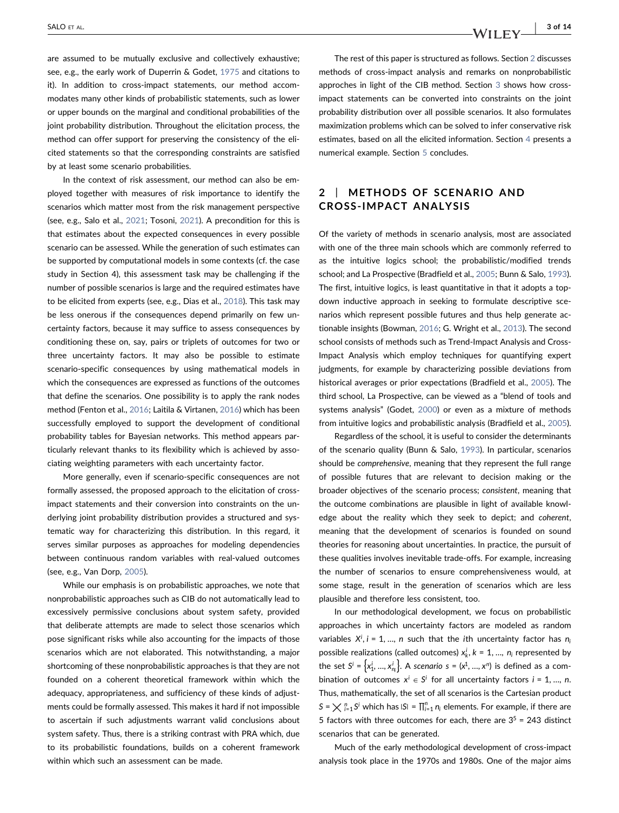are assumed to be mutually exclusive and collectively exhaustive; see, e.g., the early work of Duperrin & Godet, [1975](#page-13-8) and citations to it). In addition to cross-impact statements, our method accommodates many other kinds of probabilistic statements, such as lower or upper bounds on the marginal and conditional probabilities of the joint probability distribution. Throughout the elicitation process, the method can offer support for preserving the consistency of the elicited statements so that the corresponding constraints are satisfied by at least some scenario probabilities.

In the context of risk assessment, our method can also be employed together with measures of risk importance to identify the scenarios which matter most from the risk management perspective (see, e.g., Salo et al., [2021;](#page-14-21) Tosoni, [2021\)](#page-14-22). A precondition for this is that estimates about the expected consequences in every possible scenario can be assessed. While the generation of such estimates can be supported by computational models in some contexts (cf. the case study in Section 4), this assessment task may be challenging if the number of possible scenarios is large and the required estimates have to be elicited from experts (see, e.g., Dias et al., [2018\)](#page-13-9). This task may be less onerous if the consequences depend primarily on few uncertainty factors, because it may suffice to assess consequences by conditioning these on, say, pairs or triplets of outcomes for two or three uncertainty factors. It may also be possible to estimate scenario‐specific consequences by using mathematical models in which the consequences are expressed as functions of the outcomes that define the scenarios. One possibility is to apply the rank nodes method (Fenton et al., [2016](#page-13-10); Laitila & Virtanen, [2016](#page-14-23)) which has been successfully employed to support the development of conditional probability tables for Bayesian networks. This method appears particularly relevant thanks to its flexibility which is achieved by associating weighting parameters with each uncertainty factor.

More generally, even if scenario‐specific consequences are not formally assessed, the proposed approach to the elicitation of cross‐ impact statements and their conversion into constraints on the underlying joint probability distribution provides a structured and systematic way for characterizing this distribution. In this regard, it serves similar purposes as approaches for modeling dependencies between continuous random variables with real-valued outcomes (see, e.g., Van Dorp, [2005](#page-14-24)).

While our emphasis is on probabilistic approaches, we note that nonprobabilistic approaches such as CIB do not automatically lead to excessively permissive conclusions about system safety, provided that deliberate attempts are made to select those scenarios which pose significant risks while also accounting for the impacts of those scenarios which are not elaborated. This notwithstanding, a major shortcoming of these nonprobabilistic approaches is that they are not founded on a coherent theoretical framework within which the adequacy, appropriateness, and sufficiency of these kinds of adjustments could be formally assessed. This makes it hard if not impossible to ascertain if such adjustments warrant valid conclusions about system safety. Thus, there is a striking contrast with PRA which, due to its probabilistic foundations, builds on a coherent framework within which such an assessment can be made.

The rest of this paper is structured as follows. Section [2](#page-3-0) discusses methods of cross‐impact analysis and remarks on nonprobabilistic approches in light of the CIB method. Section [3](#page-9-0) shows how cross‐ impact statements can be converted into constraints on the joint probability distribution over all possible scenarios. It also formulates maximization problems which can be solved to infer conservative risk estimates, based on all the elicited information. Section [4](#page-10-0) presents a numerical example. Section [5](#page-13-11) concludes.

## <span id="page-3-0"></span>2 | METHODS OF SCENARIO AND CROSS‐IMPACT ANALYSIS

Of the variety of methods in scenario analysis, most are associated with one of the three main schools which are commonly referred to as the intuitive logics school; the probabilistic/modified trends school; and La Prospective (Bradfield et al., [2005;](#page-13-12) Bunn & Salo, [1993\)](#page-13-0). The first, intuitive logics, is least quantitative in that it adopts a topdown inductive approach in seeking to formulate descriptive scenarios which represent possible futures and thus help generate actionable insights (Bowman, [2016](#page-13-13); G. Wright et al., [2013\)](#page-14-25). The second school consists of methods such as Trend‐Impact Analysis and Cross‐ Impact Analysis which employ techniques for quantifying expert judgments, for example by characterizing possible deviations from historical averages or prior expectations (Bradfield et al., [2005\)](#page-13-12). The third school, La Prospective, can be viewed as a "blend of tools and systems analysis" (Godet, [2000\)](#page-13-14) or even as a mixture of methods from intuitive logics and probabilistic analysis (Bradfield et al., [2005\)](#page-13-12).

Regardless of the school, it is useful to consider the determinants of the scenario quality (Bunn & Salo, [1993\)](#page-13-0). In particular, scenarios should be comprehensive, meaning that they represent the full range of possible futures that are relevant to decision making or the broader objectives of the scenario process; consistent, meaning that the outcome combinations are plausible in light of available knowledge about the reality which they seek to depict; and coherent, meaning that the development of scenarios is founded on sound theories for reasoning about uncertainties. In practice, the pursuit of these qualities involves inevitable trade‐offs. For example, increasing the number of scenarios to ensure comprehensiveness would, at some stage, result in the generation of scenarios which are less plausible and therefore less consistent, too.

In our methodological development, we focus on probabilistic approaches in which uncertainty factors are modeled as random variables  $X^i$ ,  $i = 1, ..., n$  such that the *i*th uncertainty factor has  $n_i$ possible realizations (called outcomes)  $x_k^i$ ,  $k = 1, ..., n_i$  represented by the set  $S^i = \{x_1^i, ..., x_{n_i}^i\}$ . A scenario  $s = (x^1, ..., x^n)$  is defined as a combination of outcomes  $x^i \in S^i$  for all uncertainty factors  $i = 1, ..., n$ . Thus, mathematically, the set of all scenarios is the Cartesian product  $S = \bigtimes \frac{n}{i-1} S^i$  which has  $|S| = \prod_{i=1}^n n_i$  elements. For example, if there are 5 factors with three outcomes for each, there are  $3^5$  = 243 distinct scenarios that can be generated.

Much of the early methodological development of cross-impact analysis took place in the 1970s and 1980s. One of the major aims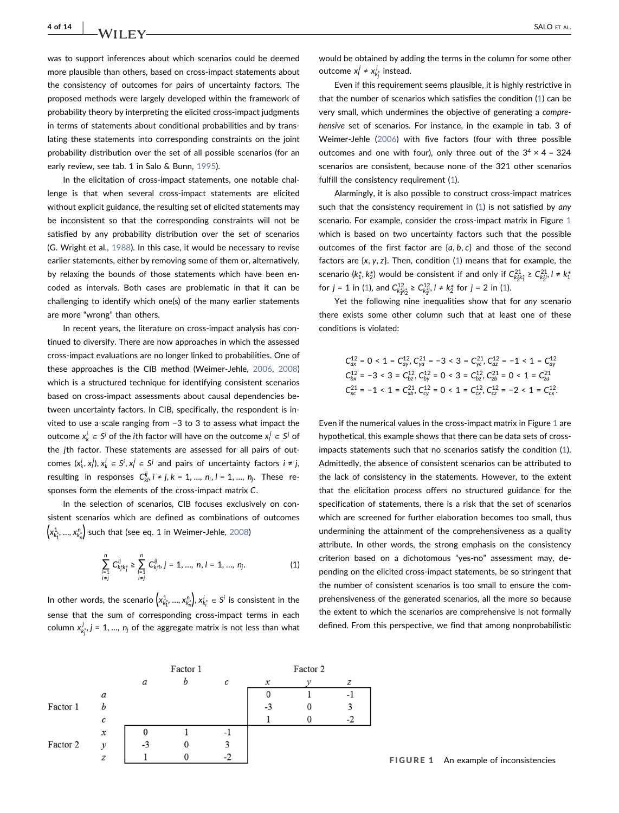**4 of 14 | NATURY SALO ET AL.** 

was to support inferences about which scenarios could be deemed more plausible than others, based on cross‐impact statements about the consistency of outcomes for pairs of uncertainty factors. The proposed methods were largely developed within the framework of probability theory by interpreting the elicited cross-impact judgments in terms of statements about conditional probabilities and by translating these statements into corresponding constraints on the joint probability distribution over the set of all possible scenarios (for an early review, see tab. 1 in Salo & Bunn, [1995\)](#page-14-6).

In the elicitation of cross‐impact statements, one notable challenge is that when several cross‐impact statements are elicited without explicit guidance, the resulting set of elicited statements may be inconsistent so that the corresponding constraints will not be satisfied by any probability distribution over the set of scenarios (G. Wright et al., [1988\)](#page-14-26). In this case, it would be necessary to revise earlier statements, either by removing some of them or, alternatively, by relaxing the bounds of those statements which have been encoded as intervals. Both cases are problematic in that it can be challenging to identify which one(s) of the many earlier statements are more "wrong" than others.

In recent years, the literature on cross‐impact analysis has continued to diversify. There are now approaches in which the assessed cross‐impact evaluations are no longer linked to probabilities. One of these approaches is the CIB method (Weimer‐Jehle, [2006,](#page-14-16) [2008](#page-14-17)) which is a structured technique for identifying consistent scenarios based on cross‐impact assessments about causal dependencies between uncertainty factors. In CIB, specifically, the respondent is invited to use a scale ranging from −3 to 3 to assess what impact the outcome  $x_k^j \in S^j$  of the *i*th factor will have on the outcome  $x_i^j \in S^j$  of the *j*th factor. These statements are assessed for all pairs of out- ${\rm comes}$   $(x_k^i, x_l^j), x_k^i \in S^i, x_l^j \in S^j$  and pairs of uncertainty factors  $i \neq j$ , resulting in responses  $C_{kl}^{ij}$ ,  $i \neq j$ ,  $k = 1, ..., n_i$ ,  $l = 1, ..., n_j$ . These responses form the elements of the cross‐impact matrix *C*.

<span id="page-4-0"></span>In the selection of scenarios, CIB focuses exclusively on consistent scenarios which are defined as combinations of outcomes  $\left( x_{k_{1}^{\star}}^{1},...,x_{k_{n}^{\star}}^{n}\right)$  such that (see eq. 1 in Weimer-Jehle, [2008](#page-14-17))

$$
\sum_{\substack{i=1\\i\neq j}}^n C_{k_i^*k_j^*}^{ij} \ge \sum_{\substack{i=1\\i\neq j}}^n C_{k_i^*j}^{ij}, j = 1, ..., n, l = 1, ..., n_j.
$$
 (1)

In other words, the scenario  $\left(x_{k_1^*}^1, ..., x_{k_n^*}^n\right)$ ,  $x_{k_i^*}^i \in S^i$  is consistent in the sense that the sum of corresponding cross-impact terms in each column  $x_{k_j^*}^j, j = 1, ..., n_j$  of the aggregate matrix is not less than what would be obtained by adding the terms in the column for some other outcome  $x_j^j \neq x_{k_j^*}^j$  instead.

Even if this requirement seems plausible, it is highly restrictive in that the number of scenarios which satisfies the condition [\(1\)](#page-4-0) can be very small, which undermines the objective of generating a comprehensive set of scenarios. For instance, in the example in tab. 3 of Weimer‐Jehle [\(2006\)](#page-14-16) with five factors (four with three possible outcomes and one with four), only three out of the  $3^4 \times 4 = 324$ scenarios are consistent, because none of the 321 other scenarios fulfill the consistency requirement [\(1\)](#page-4-0).

Alarmingly, it is also possible to construct cross‐impact matrices such that the consistency requirement in [\(1\)](#page-4-0) is not satisfied by any scenario. For example, consider the cross-impact matrix in Figure [1](#page-4-1) which is based on two uncertainty factors such that the possible outcomes of the first factor are  $\{a, b, c\}$  and those of the second factors are  $\{x, y, z\}$ . Then, condition [\(1\)](#page-4-0) means that for example, the scenario ( $k_1^*, k_2^*$ ) would be consistent if and only if  $C_{k_2^*k_1^*}^{21} \geq C_{k_2^*l}^{21}$ ,  $l \neq k_1^*$ for  $j = 1$  $j = 1$  in (1), and  $C_{k_1^2 k_2^2}^{12} \ge C_{k_1^2 l_1}^{12}$ ,  $l \ne k_2^*$  for  $j = 2$  in (1).

Yet the following nine inequalities show that for any scenario there exists some other column such that at least one of these conditions is violated:

$$
C_{1x}^{12} = 0 < 1 = C_{4y}^{12}, C_{yq}^{21} = -3 < 3 = C_{yc}^{21}, C_{1az}^{12} = -1 < 1 = C_{ay}^{12}
$$
\n
$$
C_{1x}^{12} = -3 < 3 = C_{1z}^{12}, C_{1y}^{12} = 0 < 3 = C_{1z}^{12}, C_{2b}^{21} = 0 < 1 = C_{2a}^{21}
$$
\n
$$
C_{xc}^{21} = -1 < 1 = C_{xb}^{21}, C_{cy}^{12} = 0 < 1 = C_{cx}^{12}, C_{cz}^{12} = -2 < 1 = C_{cx}^{12}.
$$

Even if the numerical values in the cross-impact matrix in Figure [1](#page-4-1) are hypothetical, this example shows that there can be data sets of cross‐ impacts statements such that no scenarios satisfy the condition ([1\)](#page-4-0). Admittedly, the absence of consistent scenarios can be attributed to the lack of consistency in the statements. However, to the extent that the elicitation process offers no structured guidance for the specification of statements, there is a risk that the set of scenarios which are screened for further elaboration becomes too small, thus undermining the attainment of the comprehensiveness as a quality attribute. In other words, the strong emphasis on the consistency criterion based on a dichotomous "yes‐no" assessment may, depending on the elicited cross‐impact statements, be so stringent that the number of consistent scenarios is too small to ensure the comprehensiveness of the generated scenarios, all the more so because the extent to which the scenarios are comprehensive is not formally defined. From this perspective, we find that among nonprobabilistic

<span id="page-4-1"></span>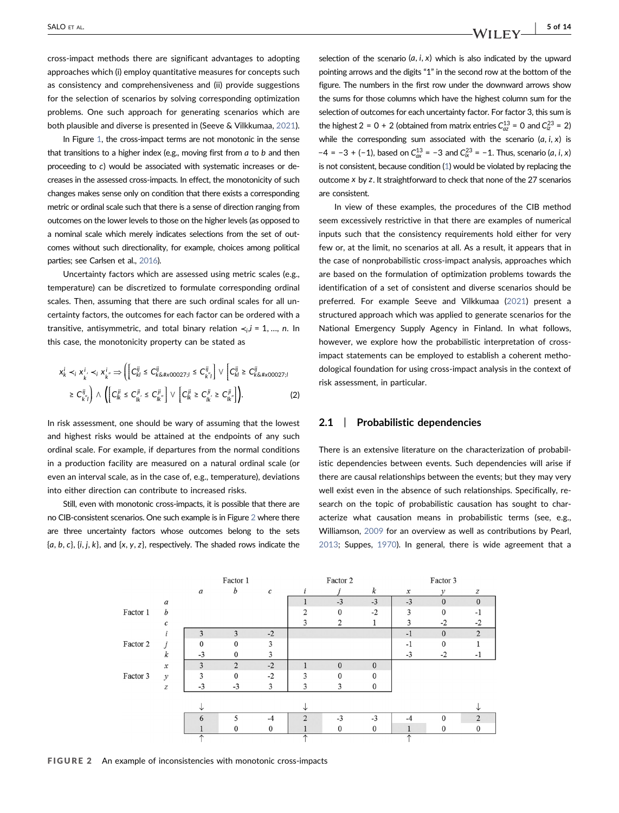cross‐impact methods there are significant advantages to adopting approaches which (i) employ quantitative measures for concepts such as consistency and comprehensiveness and (ii) provide suggestions for the selection of scenarios by solving corresponding optimization problems. One such approach for generating scenarios which are both plausible and diverse is presented in (Seeve & Vilkkumaa, [2021](#page-14-7)).

In Figure [1,](#page-4-1) the cross‐impact terms are not monotonic in the sense that transitions to a higher index (e.g., moving first from *a* to *b* and then proceeding to *c*) would be associated with systematic increases or decreases in the assessed cross‐impacts. In effect, the monotonicity of such changes makes sense only on condition that there exists a corresponding metric or ordinal scale such that there is a sense of direction ranging from outcomes on the lower levels to those on the higher levels (as opposed to a nominal scale which merely indicates selections from the set of outcomes without such directionality, for example, choices among political parties; see Carlsen et al., [2016\)](#page-13-1).

Uncertainty factors which are assessed using metric scales (e.g., temperature) can be discretized to formulate corresponding ordinal scales. Then, assuming that there are such ordinal scales for all uncertainty factors, the outcomes for each factor can be ordered with a transitive, antisymmetric, and total binary relation  $\prec_i$ , *i* = 1, ..., *n*. In this case, the monotonicity property can be stated as

$$
\begin{split} &\left. x_k^j \prec_i x_{k'}^i \prec_i x_{k'}^i \Rightarrow \left( \left[ C_{kl}^{ij} \leq C_{k \& \# x00027; i}^j \leq C_{k'1}^{ij} \right] \vee \left[ C_{kl}^{ij} \geq C_{k \& \# x00027; i}^j \right. \right. \\ & \left. \geq C_{k''j}^{ij} \right) \wedge \left( \left[ C_{lk}^{ji} \leq C_{lk'}^{ji} \leq C_{lk'}^{ji} \right] \vee \left[ C_{lk}^{ji} \geq C_{lk'}^{ji} \geq C_{lk'}^{ji} \right] \right). \end{split} \tag{2}
$$

In risk assessment, one should be wary of assuming that the lowest and highest risks would be attained at the endpoints of any such ordinal scale. For example, if departures from the normal conditions in a production facility are measured on a natural ordinal scale (or even an interval scale, as in the case of, e.g., temperature), deviations into either direction can contribute to increased risks.

Still, even with monotonic cross-impacts, it is possible that there are no CIB‐consistent scenarios. One such example is in Figure [2](#page-5-0) where there are three uncertainty factors whose outcomes belong to the sets  ${a, b, c}, \{i, j, k\}$ , and  ${x, y, z}$ , respectively. The shaded rows indicate the

selection of the scenario  $(a, i, x)$  which is also indicated by the upward pointing arrows and the digits "1" in the second row at the bottom of the figure. The numbers in the first row under the downward arrows show the sums for those columns which have the highest column sum for the selection of outcomes for each uncertainty factor. For factor 3, this sum is the highest 2 = 0 + 2 (obtained from matrix entries  $C_{ax}^{13}$  = 0 and  $C_{2}^{23}$  = 2) while the corresponding sum associated with the scenario  $(a, i, x)$  is −4 = −3 + (−1), based on  $C_{ax}^{13}$  = −3 and  $C_{ix}^{23}$  = −1. Thus, scenario (*a*, *i*, *x*) is not consistent, because condition ([1](#page-4-0)) would be violated by replacing the outcome *x* by *z*. It straightforward to check that none of the 27 scenarios are consistent.

In view of these examples, the procedures of the CIB method seem excessively restrictive in that there are examples of numerical inputs such that the consistency requirements hold either for very few or, at the limit, no scenarios at all. As a result, it appears that in the case of nonprobabilistic cross‐impact analysis, approaches which are based on the formulation of optimization problems towards the identification of a set of consistent and diverse scenarios should be preferred. For example Seeve and Vilkkumaa ([2021](#page-14-7)) present a structured approach which was applied to generate scenarios for the National Emergency Supply Agency in Finland. In what follows, however, we explore how the probabilistic interpretation of crossimpact statements can be employed to establish a coherent methodological foundation for using cross‐impact analysis in the context of risk assessment, in particular.

#### 2.1 | Probabilistic dependencies

There is an extensive literature on the characterization of probabilistic dependencies between events. Such dependencies will arise if there are causal relationships between the events; but they may very well exist even in the absence of such relationships. Specifically, research on the topic of probabilistic causation has sought to characterize what causation means in probabilistic terms (see, e.g., Williamson, [2009](#page-14-27) for an overview as well as contributions by Pearl, [2013](#page-14-28); Suppes, [1970\)](#page-14-29). In general, there is wide agreement that a

<span id="page-5-0"></span>

FIGURE 2 An example of inconsistencies with monotonic cross-impacts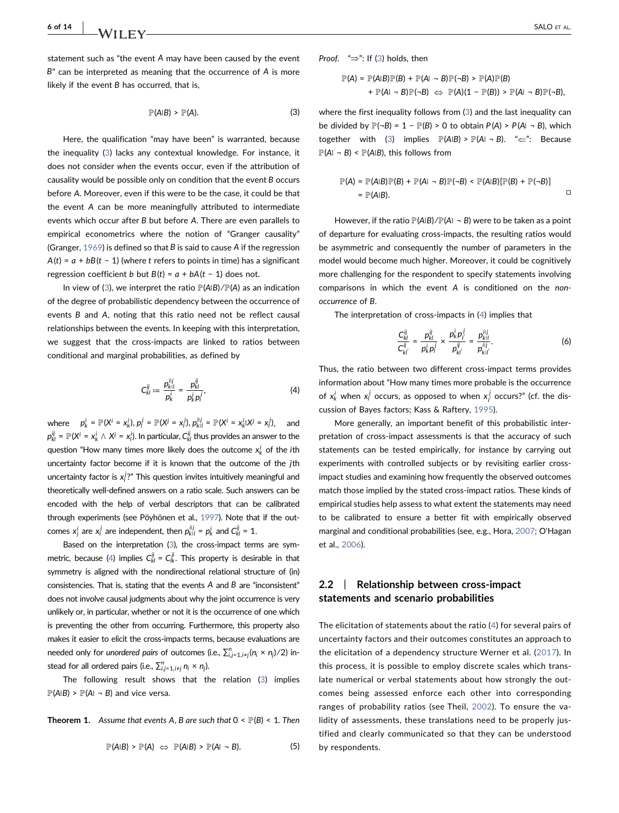<span id="page-6-0"></span>statement such as "the event *A* may have been caused by the event *B*" can be interpreted as meaning that the occurrence of *A* is more likely if the event *B* has occurred, that is,

$$
\mathbb{P}(A|B) > \mathbb{P}(A). \tag{3}
$$

Here, the qualification "may have been" is warranted, because the inequality [\(3\)](#page-6-0) lacks any contextual knowledge. For instance, it does not consider when the events occur, even if the attribution of causality would be possible only on condition that the event *B* occurs before *A*. Moreover, even if this were to be the case, it could be that the event *A* can be more meaningfully attributed to intermediate events which occur after *B* but before *A*. There are even parallels to empirical econometrics where the notion of "Granger causality" (Granger, [1969\)](#page-13-15) is defined so that *B* is said to cause *A* if the regression  $A(t) = a + bB(t - 1)$  (where *t* refers to points in time) has a significant regression coefficient *b* but  $B(t) = a + bA(t - 1)$  does not.

<span id="page-6-1"></span>In view of ([3](#page-6-0)), we interpret the ratio  $\mathbb{P}(\mathsf{A}|\mathsf{B})/\mathbb{P}(\mathsf{A})$  as an indication of the degree of probabilistic dependency between the occurrence of events *B* and *A*, noting that this ratio need not be reflect causal relationships between the events. In keeping with this interpretation, we suggest that the cross‐impacts are linked to ratios between conditional and marginal probabilities, as defined by

$$
C_{kl}^{ij} := \frac{p_{kl}^{ij}}{p_k^j} = \frac{p_{kl}^{ij}}{p_k^j p_j^j},
$$
 (4)

where  $p_k^i = \mathbb{P}(X^i = x_k^i), p_l^j = \mathbb{P}(X^j = x_l^j), p_{k|l}^{i|j} = \mathbb{P}(X^i = x_k^i | X^j = x_l^j),$  and  $p_{kl}^{ij} = \mathbb{P}(X^i = x_k^i \wedge X^j = x_i^j)$ . In particular,  $C_{kl}^{ij}$  thus provides an answer to the question "How many times more likely does the outcome  $x_k^i$  of the *i*th uncertainty factor become if it is known that the outcome of the *j*th uncertainty factor is x<sup>*j*?"</sup> This question invites intuitively meaningful and theoretically well‐defined answers on a ratio scale. Such answers can be encoded with the help of verbal descriptors that can be calibrated through experiments (see Pöyhönen et al., [1997](#page-14-30)). Note that if the outcomes  $x_j^i$  are  $x_l^j$  are independent, then  $p_{kl}^{ij} = p_k^i$  and  $C_{kl}^{ij} = 1$ .

Based on the interpretation [\(3](#page-6-0)), the cross-impact terms are sym-metric, because [\(4\)](#page-6-1) implies  $C_{kl}^{ij} = C_{lk}^{ji}$ . This property is desirable in that symmetry is aligned with the nondirectional relational structure of (in) consistencies. That is, stating that the events *A* and *B* are "inconsistent" does not involve causal judgments about why the joint occurrence is very unlikely or, in particular, whether or not it is the occurrence of one which is preventing the other from occurring. Furthermore, this property also makes it easier to elicit the cross‐impacts terms, because evaluations are needed only for *unordered pairs* of outcomes (i.e.,  $\sum_{i,j=1,i\neq j}^{n} (n_i \times n_j) / 2$ ) instead for all ordered pairs (i.e.,  $\sum_{i,j=1, i\neq j}^{n} n_i \times n_j$ ).

The following result shows that the relation [\(3](#page-6-0)) implies  $\mathbb{P}(A|B) > \mathbb{P}(A| - B)$  and vice versa.

#### **Theorem 1.** Assume that events A, B are such that  $0 \leq \mathbb{P}(B) \leq 1$ . Then

$$
\mathbb{P}(A|B) > \mathbb{P}(A) \iff \mathbb{P}(A|B) > \mathbb{P}(A| \neg B). \tag{5}
$$

Proof. " $\Rightarrow$ ": If [\(3\)](#page-6-0) holds, then

$$
\mathbb{P}(A) = \mathbb{P}(A|B)\mathbb{P}(B) + \mathbb{P}(A| \neg B)\mathbb{P}(\neg B) > \mathbb{P}(A)\mathbb{P}(B) + \mathbb{P}(A| \neg B)\mathbb{P}(\neg B) \Leftrightarrow \mathbb{P}(A)(1 - \mathbb{P}(B)) > \mathbb{P}(A| \neg B)\mathbb{P}(\neg B),
$$

where the first inequality follows from ([3](#page-6-0)) and the last inequality can be divided by  $\mathbb{P}(\neg B) = 1 - \mathbb{P}(B) > 0$  to obtain  $P(A) > P(A \neg B)$ , which together with ([3](#page-6-0)) implies  $\mathbb{P}(A|B) > \mathbb{P}(A| - B)$ . " $\Leftarrow$ ": Because  $\mathbb{P}(A \cap B) \leq \mathbb{P}(A \cap B)$ , this follows from

$$
\mathbb{P}(A) = \mathbb{P}(A|B)\mathbb{P}(B) + \mathbb{P}(A| \neg B)\mathbb{P}(\neg B) < \mathbb{P}(A|B)[\mathbb{P}(B) + \mathbb{P}(\neg B)] \\
= \mathbb{P}(A|B).
$$

However, if the ratio  $\mathbb{P}(A|B)/\mathbb{P}(A|\neg B)$  were to be taken as a point of departure for evaluating cross‐impacts, the resulting ratios would be asymmetric and consequently the number of parameters in the model would become much higher. Moreover, it could be cognitively more challenging for the respondent to specify statements involving comparisons in which the event *A* is conditioned on the nonoccurrence of *B*.

<span id="page-6-2"></span>The interpretation of cross‐impacts in [\(4](#page-6-1)) implies that

$$
\frac{C_{kl}^{ij}}{C_{kl'}^{ij}} = \frac{p_{kl}^{ij}}{p_k^i p_l^j} \times \frac{p_k^i p_l^j}{p_{kl'}^{ij}} = \frac{p_{kl}^{ij}}{p_{kl'}^{ij}}.
$$
 (6)

Thus, the ratio between two different cross-impact terms provides information about "How many times more probable is the occurrence of  $x_k^j$  when  $x_l^j$  occurs, as opposed to when  $x_l^j$  occurs?" (cf. the discussion of Bayes factors; Kass & Raftery, [1995\)](#page-13-16).

More generally, an important benefit of this probabilistic interpretation of cross-impact assessments is that the accuracy of such statements can be tested empirically, for instance by carrying out experiments with controlled subjects or by revisiting earlier crossimpact studies and examining how frequently the observed outcomes match those implied by the stated cross-impact ratios. These kinds of empirical studies help assess to what extent the statements may need to be calibrated to ensure a better fit with empirically observed marginal and conditional probabilities (see, e.g., Hora, [2007;](#page-13-17) O'Hagan et al., [2006](#page-14-31)).

## 2.2 | Relationship between cross-impact statements and scenario probabilities

The elicitation of statements about the ratio ([4](#page-6-1)) for several pairs of uncertainty factors and their outcomes constitutes an approach to the elicitation of a dependency structure Werner et al. [\(2017\)](#page-14-32). In this process, it is possible to employ discrete scales which translate numerical or verbal statements about how strongly the outcomes being assessed enforce each other into corresponding ranges of probability ratios (see Theil, [2002](#page-14-33)). To ensure the validity of assessments, these translations need to be properly justified and clearly communicated so that they can be understood by respondents.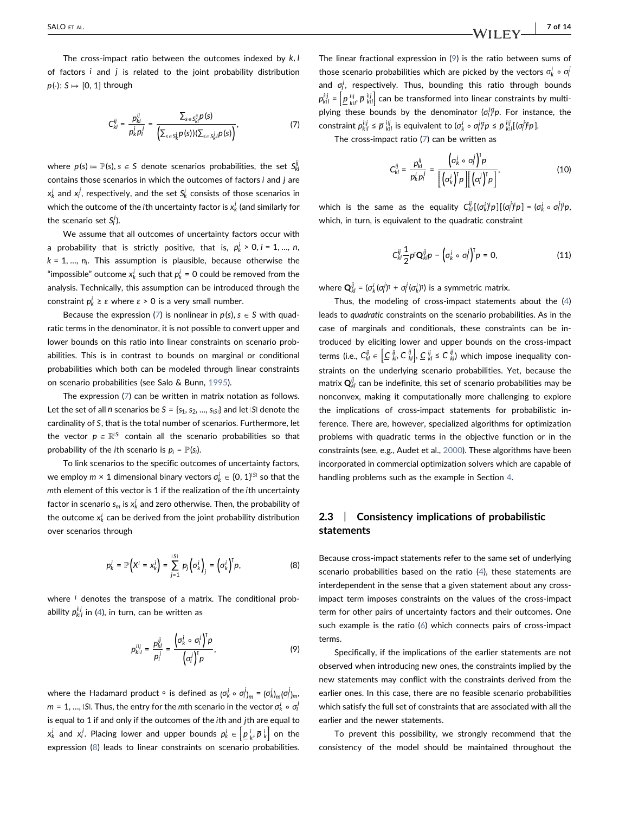<span id="page-7-0"></span>The cross‐impact ratio between the outcomes indexed by *k*, *l* of factors *i* and *j* is related to the joint probability distribution  $p(\cdot): S \mapsto [0, 1]$  through

$$
C_{kl}^{ij} = \frac{p_{kl}^{ij}}{p_k^i p_l^j} = \frac{\sum_{s \in S_{kl}^{ij}P}(s)}{\left(\sum_{s \in S_k^i}p(s))(\sum_{s \in S_k^j}p(s)\right)},\tag{7}
$$

where  $p(s) \coloneqq \mathbb{P}(s), s \in S$  denote scenarios probabilities, the set  $S^{\mathbb{F}}_{\mathsf{KL}}$ contains those scenarios in which the outcomes of factors *i* and *j* are  $x_k^i$  and  $x_l^j$ , respectively, and the set  $S_k^i$  consists of those scenarios in which the outcome of the  $i$ th uncertainty factor is  $x_k^i$  (and similarly for the scenario set  $S_l^j$ ).

We assume that all outcomes of uncertainty factors occur with a probability that is strictly positive, that is,  $p_k^i > 0$ ,  $i = 1, ..., n$ ,  $k = 1, \ldots, n_i$ . This assumption is plausible, because otherwise the "impossible" outcome  $x_k^i$  such that  $p_k^i = 0$  could be removed from the analysis. Technically, this assumption can be introduced through the  $\text{constant } p_k^i \geq \varepsilon \text{ where } \varepsilon > 0 \text{ is a very small number.}$ 

Because the expression ([7](#page-7-0)) is nonlinear in  $p(s)$ ,  $s \in S$  with quadratic terms in the denominator, it is not possible to convert upper and lower bounds on this ratio into linear constraints on scenario probabilities. This is in contrast to bounds on marginal or conditional probabilities which both can be modeled through linear constraints on scenario probabilities (see Salo & Bunn, [1995](#page-14-6)).

The expression ([7](#page-7-0)) can be written in matrix notation as follows. Let the set of all *n* scenarios be  $S = \{s_1, s_2, ..., s_{|S|}\}$  and let  $|S|$  denote the cardinality of *S*, that is the total number of scenarios. Furthermore, let the vector  $p \in \mathbb{R}^{|S|}$  contain all the scenario probabilities so that probability of the *i*th scenario is  $p_i = P(s_i)$ .

<span id="page-7-1"></span>To link scenarios to the specific outcomes of uncertainty factors,  $\mathsf{w}\mathsf{e}\,$  employ  $m\times 1$  dimensional binary vectors  $\sigma_k^i\in\{0,1\}^{|S|}$  so that the *m*th element of this vector is 1 if the realization of the *i*th uncertainty factor in scenario  $s_m$  is  $x^i_k$  and zero otherwise. Then, the probability of the outcome  $x_k^j$  can be derived from the joint probability distribution over scenarios through

$$
p_k^i = \mathbb{P}\Big(X^i = x_k^i\Big) = \sum_{j=1}^{|S|} p_j \Big(\sigma_k^i\Big)_j = \Big(\sigma_k^i\Big)^T p,\tag{8}
$$

<span id="page-7-2"></span>where <sup>⊺</sup> denotes the transpose of a matrix. The conditional probability  $p_{k|l}^{i|j}$  in ([4](#page-6-1)), in turn, can be written as

$$
p_{k|l}^{ij} = \frac{p_{kl}^{ij}}{p_l^j} = \frac{\left(\sigma_k^i \circ \sigma_l^j\right)^T p}{\left(\sigma_l^j\right)^T p},\tag{9}
$$

where the Hadamard product ∘ is defined as  $(\sigma_k^j \circ \sigma_l^j)_m = (\sigma_k^i)_m (\sigma_l^j)_m,$  $m = 1, ...,$  *IS*I. Thus, the entry for the  $m$ th scenario in the vector  $\sigma_k^i \circ \sigma_l^j$ is equal to 1 if and only if the outcomes of the *i*th and *j*th are equal to  $x_k^j$  and  $x_j^j$ . Placing lower and upper bounds  $p_k^j \in \left[\underline{p}_k^j, \overline{p}_k^j\right]$  on the expression [\(8\)](#page-7-1) leads to linear constraints on scenario probabilities. The linear fractional expression in ([9](#page-7-2)) is the ratio between sums of those scenario probabilities which are picked by the vectors  $\sigma_k^i \circ \sigma_l^j$ and  $\sigma_l^j$ , respectively. Thus, bounding this ratio through bounds  $p_{kl}^{ij} = \left[ \underline{p}_{kl}^{ij} \, \overline{p}_{kl}^{ij} \right]$  can be transformed into linear constraints by multi-<br>ability the seconds by the dependence (c<sup>ly</sup>in Family there the plying these bounds by the denominator  $(\sigma_i^j)^T p$ . For instance, the constraint  $p_{kl}^{ij} \le \overline{p}_{kl}^{ij}$  is equivalent to  $(\sigma_k^i \circ \sigma_l^j)\overline{p} \le \overline{p}_{kl}^{ij}[(\sigma_l^j)\overline{p}].$ 

<span id="page-7-3"></span>The cross‐impact ratio [\(7](#page-7-0)) can be written as

$$
C_{kl}^{ij} = \frac{p_{kl}^{ij}}{p_k^j p_l^j} = \frac{\left(\sigma_k^j \circ \sigma_l^j\right)^T p}{\left[\left(\sigma_k^j\right)^T p\right] \left[\left(\sigma_l^j\right)^T p\right]},\tag{10}
$$

<span id="page-7-4"></span>which is the same as the equality  $C_{kl}^{ij}[(\sigma_k^j)^T p][(\sigma_l^j)^T p] = (\sigma_k^i \circ \sigma_l^j)^T p$ which, in turn, is equivalent to the quadratic constraint

$$
C_{kl}^{ij}\frac{1}{2}p^{\dagger}\mathbf{Q}_{kl}^{ij}p - \left(\sigma_k^i \circ \sigma_l^j\right)^{\dagger}p = 0, \qquad (11)
$$

where  $\mathbf{Q}_{kl}^{ij} = (\sigma_k^i (\sigma_l^j)^\intercal + \sigma_l^j (\sigma_k^i)^\intercal)$  is a symmetric matrix.

Thus, the modeling of cross‐impact statements about the ([4](#page-6-1)) leads to quadratic constraints on the scenario probabilities. As in the case of marginals and conditionals, these constraints can be introduced by eliciting lower and upper bounds on the cross‐impact terms (i.e.,  $C_{kl}^{ij} \in \left[ \mathcal{L}_{kl}^{ij}, \overline{C}_{kl}^{ij} \right], \mathcal{L}_{kl}^{ij} \leq \overline{C}_{kl}^{ij}$ ) which impose inequality con- straints on the underlying scenario probabilities. Yet, because the matrix  $\mathbf{Q}_{kl}^{ij}$  can be indefinite, this set of scenario probabilities may be nonconvex, making it computationally more challenging to explore the implications of cross‐impact statements for probabilistic inference. There are, however, specialized algorithms for optimization problems with quadratic terms in the objective function or in the constraints (see, e.g., Audet et al., [2000\)](#page-13-18). These algorithms have been incorporated in commercial optimization solvers which are capable of handling problems such as the example in Section [4](#page-10-0).

### 2.3 | Consistency implications of probabilistic statements

Because cross‐impact statements refer to the same set of underlying scenario probabilities based on the ratio ([4](#page-6-1)), these statements are interdependent in the sense that a given statement about any crossimpact term imposes constraints on the values of the cross-impact term for other pairs of uncertainty factors and their outcomes. One such example is the ratio ([6](#page-6-2)) which connects pairs of cross-impact terms.

Specifically, if the implications of the earlier statements are not observed when introducing new ones, the constraints implied by the new statements may conflict with the constraints derived from the earlier ones. In this case, there are no feasible scenario probabilities which satisfy the full set of constraints that are associated with all the earlier and the newer statements.

To prevent this possibility, we strongly recommend that the consistency of the model should be maintained throughout the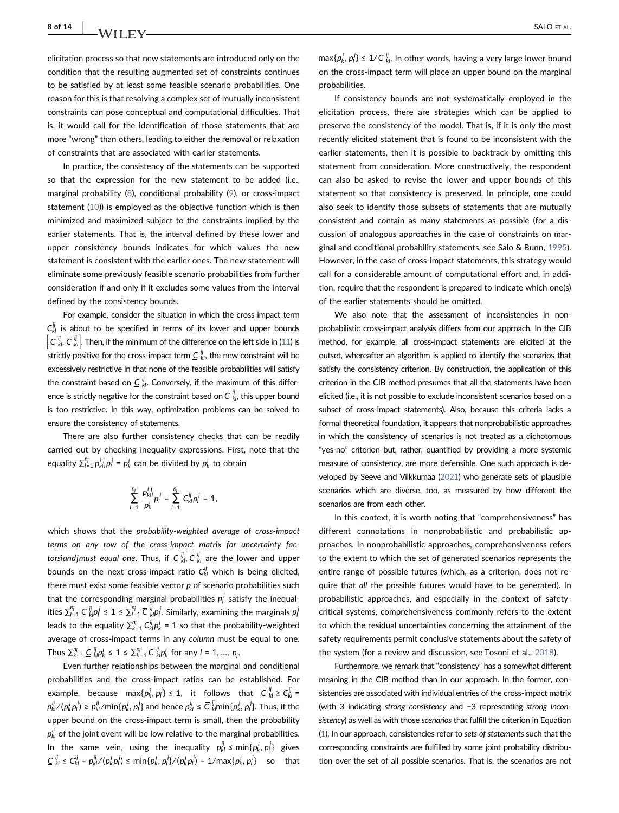## **8 of 14 | NATILEY SALO ET AL.**

elicitation process so that new statements are introduced only on the condition that the resulting augmented set of constraints continues to be satisfied by at least some feasible scenario probabilities. One reason for this is that resolving a complex set of mutually inconsistent constraints can pose conceptual and computational difficulties. That is, it would call for the identification of those statements that are more "wrong" than others, leading to either the removal or relaxation of constraints that are associated with earlier statements.

In practice, the consistency of the statements can be supported so that the expression for the new statement to be added (i.e., marginal probability [\(8](#page-7-1)), conditional probability [\(9](#page-7-2)), or cross-impact statement [\(10](#page-7-3))) is employed as the objective function which is then minimized and maximized subject to the constraints implied by the earlier statements. That is, the interval defined by these lower and upper consistency bounds indicates for which values the new statement is consistent with the earlier ones. The new statement will eliminate some previously feasible scenario probabilities from further consideration if and only if it excludes some values from the interval defined by the consistency bounds.

For example, consider the situation in which the cross-impact term  $C_{kl}^{ij}$  is about to be specified in terms of its lower and upper bounds  $\left[\underline{C}^{\parallel}_{kl}, \overline{C}^{\parallel}_{kl}\right]$ . Then, if the minimum of the difference on the left side in ([11](#page-7-4)) is strictly positive for the cross-impact term  $\frac{C}{k}$ , the new constraint will be l excessively restrictive in that none of the feasible probabilities will satisfy the constraint based on <u>C  $_{kl}^{ij}$ </u>. Conversely, if the maximum of this difference is strictly negative for the constraint based on  $\overline{C}\!\!\stackrel{ij}{\vphantom{|}}_{kl}$  , this upper bound is too restrictive. In this way, optimization problems can be solved to ensure the consistency of statements.

There are also further consistency checks that can be readily carried out by checking inequality expressions. First, note that the equality  $\sum_{i=1}^{n_j} p_{k|i}^{ij} p_i^j = p_k^i$  can be divided by  $p_k^i$  to obtain

$$
\sum_{l=1}^{n_j} \frac{p_{kl}^{ij}}{p_k^{j}} p_l^{j} = \sum_{l=1}^{n_j} C_{kl}^{ij} p_l^{j} = 1,
$$

which shows that the probability-weighted average of cross-impact terms on any row of the cross-impact matrix for uncertainty fact*orsiandjmust equal one.* Thus, if  $\underline{C}\!\stackrel{ij}{\phantom{i}}_{kl}$   $\overline{C}\!\stackrel{ij}{\phantom{i}}_{kl}$  are the lower and upper bounds on the next cross-impact ratio  $C_{kl}^{ij}$  which is being elicited, there must exist some feasible vector *p* of scenario probabilities such that the corresponding marginal probabilities  $p_l^j$  satisfy the inequalities  $\sum_{l=1}^{n_j}\frac{C}{k}|p_l^j|\leq 1\leq \sum_{l=1}^{n_j}\overline{C}\;_{kl}^{ij}p_l^j.$  Similarly, examining the marginals  $p_l^j$ leads to the equality  $\sum_{k=1}^{n_i} C_{kl}^{ij} p_k^i = 1$  so that the probability-weighted average of cross‐impact terms in any column must be equal to one.  $\sum_{k=1}^{n_i} \frac{C}{k} \frac{ij}{k} p_k^i \leq 1 \leq \sum_{k=1}^{n_i} \overline{C} \frac{ij}{k} p_k^i$  for any  $l = 1, ..., n_j$ .

Even further relationships between the marginal and conditional probabilities and the cross‐impact ratios can be established. For  $\epsilon$  example, because max $\{p_k^i, p_l^j\} \leq 1$ , it follows that  $\overline{C}\,{}^{ij}_{kl} \geq C^{ij}_{kl} = 1$  $p^{\bar{i}j}_{kl}/(p^i_k p^j_l)\geq p^{\bar{i}j}_{kl}/$ min $\{p^i_k,\,p^j_l\}$  and hence  $p^{\bar{i}j}_{kl}\leq \overline{C}\,{}^{i\bar{j}}_{kl}$ min $\{p^i_k,\,p^j_l\}.$  Thus, if the upper bound on the cross‐impact term is small, then the probability  $p_{\mathsf{k} \mathsf{l}}^{\mathsf{j} \mathsf{j}}$  of the joint event will be low relative to the marginal probabilities. In the same vein, using the inequality  $p_{kl}^{ij} \leq \min\{p_k^i, p_l^j\}$  gives  $C^{ij}_{kl} \leq C^{ij}_{kl} = p^{ij}_{kl}/(p^i_k p^j_l) \leq \min\{p^i_k, p^j_l\}/(p^i_k p^j_l) = 1/\max\{p^i_k, p^j_l\}$  so that

 $max\{p_k^i, p_l^j\} \leq 1/\underline{C}\frac{ij}{k!}$ . In other words, having a very large lower bound on the cross‐impact term will place an upper bound on the marginal probabilities.

If consistency bounds are not systematically employed in the elicitation process, there are strategies which can be applied to preserve the consistency of the model. That is, if it is only the most recently elicited statement that is found to be inconsistent with the earlier statements, then it is possible to backtrack by omitting this statement from consideration. More constructively, the respondent can also be asked to revise the lower and upper bounds of this statement so that consistency is preserved. In principle, one could also seek to identify those subsets of statements that are mutually consistent and contain as many statements as possible (for a discussion of analogous approaches in the case of constraints on marginal and conditional probability statements, see Salo & Bunn, [1995\)](#page-14-6). However, in the case of cross‐impact statements, this strategy would call for a considerable amount of computational effort and, in addition, require that the respondent is prepared to indicate which one(s) of the earlier statements should be omitted.

We also note that the assessment of inconsistencies in nonprobabilistic cross‐impact analysis differs from our approach. In the CIB method, for example, all cross‐impact statements are elicited at the outset, whereafter an algorithm is applied to identify the scenarios that satisfy the consistency criterion. By construction, the application of this criterion in the CIB method presumes that all the statements have been elicited (i.e., it is not possible to exclude inconsistent scenarios based on a subset of cross-impact statements). Also, because this criteria lacks a formal theoretical foundation, it appears that nonprobabilistic approaches in which the consistency of scenarios is not treated as a dichotomous "yes‐no" criterion but, rather, quantified by providing a more systemic measure of consistency, are more defensible. One such approach is developed by Seeve and Vilkkumaa ([2021](#page-14-7)) who generate sets of plausible scenarios which are diverse, too, as measured by how different the scenarios are from each other.

In this context, it is worth noting that "comprehensiveness" has different connotations in nonprobabilistic and probabilistic approaches. In nonprobabilistic approaches, comprehensiveness refers to the extent to which the set of generated scenarios represents the entire range of possible futures (which, as a criterion, does not require that all the possible futures would have to be generated). In probabilistic approaches, and especially in the context of safetycritical systems, comprehensiveness commonly refers to the extent to which the residual uncertainties concerning the attainment of the safety requirements permit conclusive statements about the safety of the system (for a review and discussion, see Tosoni et al., [2018](#page-14-9)).

Furthermore, we remark that "consistency" has a somewhat different meaning in the CIB method than in our approach. In the former, consistencies are associated with individual entries of the cross-impact matrix (with 3 indicating strong consistency and −3 representing strong inconsistency) as well as with those scenarios that fulfill the criterion in Equation [\(1](#page-4-0)). In our approach, consistencies refer to sets of statements such that the corresponding constraints are fulfilled by some joint probability distribution over the set of all possible scenarios. That is, the scenarios are not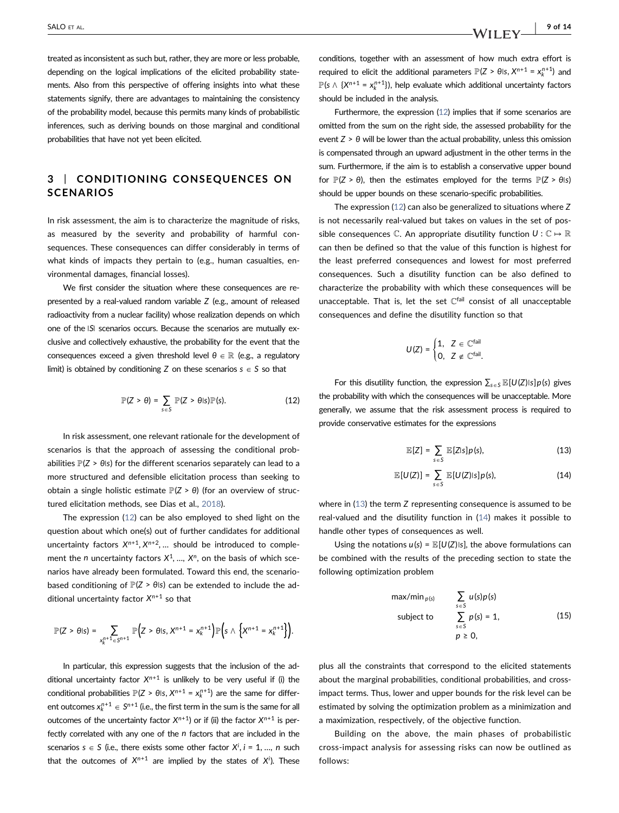treated as inconsistent as such but, rather, they are more or less probable, depending on the logical implications of the elicited probability statements. Also from this perspective of offering insights into what these statements signify, there are advantages to maintaining the consistency of the probability model, because this permits many kinds of probabilistic inferences, such as deriving bounds on those marginal and conditional probabilities that have not yet been elicited.

## <span id="page-9-0"></span>3 | CONDITIONING CONSEQUENCES ON **SCENARIOS**

In risk assessment, the aim is to characterize the magnitude of risks, as measured by the severity and probability of harmful consequences. These consequences can differ considerably in terms of what kinds of impacts they pertain to (e.g., human casualties, environmental damages, financial losses).

We first consider the situation where these consequences are represented by a real‐valued random variable *Z* (e.g., amount of released radioactivity from a nuclear facility) whose realization depends on which one of the *SI* scenarios occurs. Because the scenarios are mutually exclusive and collectively exhaustive, the probability for the event that the consequences exceed a given threshold level  $θ ∈ ℝ$  (e.g., a regulatory limit) is obtained by conditioning *Z* on these scenarios  $s \in S$  so that

$$
\mathbb{P}(Z > \theta) = \sum_{s \in S} \mathbb{P}(Z > \theta \mid s) \mathbb{P}(s). \tag{12}
$$

<span id="page-9-1"></span>In risk assessment, one relevant rationale for the development of scenarios is that the approach of assessing the conditional probabilities  $\mathbb{P}(Z > \theta \text{ls})$  for the different scenarios separately can lead to a more structured and defensible elicitation process than seeking to obtain a single holistic estimate  $\mathbb{P}(Z > θ)$  (for an overview of structured elicitation methods, see Dias et al., [2018\)](#page-13-9).

The expression ([12](#page-9-1)) can be also employed to shed light on the question about which one(s) out of further candidates for additional uncertainty factors  $X^{n+1}$ ,  $X^{n+2}$ , ... should be introduced to complement the *n* uncertainty factors  $X^1$ , ...,  $X^n$ , on the basis of which scenarios have already been formulated. Toward this end, the scenario‐ based conditioning of  $\mathbb{P}(Z > \theta | s)$  can be extended to include the additional uncertainty factor *Xn*+1 so that

$$
\mathbb{P}(Z>\theta \textup{ls})=\sum_{x_k^{n+1} \in S^{n+1}} \mathbb{P}\Big(Z>\theta \textup{ls}, X^{n+1}=x_k^{n+1}\Big) \mathbb{P}\Big(s\wedge \Big\{X^{n+1}=x_k^{n+1}\Big\}\Big).
$$

In particular, this expression suggests that the inclusion of the additional uncertainty factor  $X^{n+1}$  is unlikely to be very useful if (i) the conditional probabilities  $\mathbb{P}(Z > \theta \mid s, X^{n+1} = x_k^{n+1})$  are the same for different outcomes  $x_k^{n+1} \in S^{n+1}$  (i.e., the first term in the sum is the same for all outcomes of the uncertainty factor  $X^{n+1}$ ) or if (ii) the factor  $X^{n+1}$  is perfectly correlated with any one of the *n* factors that are included in the scenarios  $s \in S$  (i.e., there exists some other factor  $X^i$ ,  $i = 1, ..., n$  such that the outcomes of  $X^{n+1}$  are implied by the states of  $X^i$ ). These

conditions, together with an assessment of how much extra effort is required to elicit the additional parameters  $\mathbb{P}(Z > \theta)$ s,  $X^{n+1} = X_k^{n+1}$  and  $\mathbb{P}(\mathsf{s} \wedge \{X^{n+1} = x_k^{n+1}\})$ , help evaluate which additional uncertainty factors should be included in the analysis.

Furthermore, the expression [\(12\)](#page-9-1) implies that if some scenarios are omitted from the sum on the right side, the assessed probability for the event *Z* > *θ* will be lower than the actual probability, unless this omission is compensated through an upward adjustment in the other terms in the sum. Furthermore, if the aim is to establish a conservative upper bound for  $\mathbb{P}(Z > θ)$ , then the estimates employed for the terms  $\mathbb{P}(Z > θ$ <sup>s</sup>) should be upper bounds on these scenario‐specific probabilities.

The expression ([12](#page-9-1)) can also be generalized to situations where *Z* is not necessarily real-valued but takes on values in the set of possible consequences  $\mathbb C$ . An appropriate disutility function  $U: \mathbb C \mapsto \mathbb R$ can then be defined so that the value of this function is highest for the least preferred consequences and lowest for most preferred consequences. Such a disutility function can be also defined to characterize the probability with which these consequences will be unacceptable. That is, let the set  $\mathbb{C}^{\text{fail}}$  consist of all unacceptable consequences and define the disutility function so that

$$
U(Z) = \begin{cases} 1, & Z \in \mathbb{C}^{\text{fail}} \\ 0, & Z \notin \mathbb{C}^{\text{fail}}. \end{cases}
$$

<span id="page-9-2"></span>For this disutility function, the expression  $\sum_{s \in S} \mathbb{E}[U(Z)|s] p(s)$  gives the probability with which the consequences will be unacceptable. More generally, we assume that the risk assessment process is required to provide conservative estimates for the expressions

$$
\mathbb{E}[Z] = \sum_{s \in S} \mathbb{E}[Z|s] p(s), \tag{13}
$$

$$
\mathbb{E}[U(Z)] = \sum_{s \in S} \mathbb{E}[U(Z)|s] p(s), \qquad (14)
$$

<span id="page-9-3"></span>where in ([13](#page-9-2)) the term *Z* representing consequence is assumed to be real-valued and the disutility function in [\(14\)](#page-9-3) makes it possible to handle other types of consequences as well.

<span id="page-9-4"></span>Using the notations  $u(s) = \mathbb{E}[U(Z)|s]$ , the above formulations can be combined with the results of the preceding section to state the following optimization problem

$$
\max/\min_{p(s)} \sum_{s \in S} u(s)p(s)
$$
  
subject to 
$$
\sum_{s \in S} p(s) = 1,
$$
 (15)  

$$
p \ge 0,
$$

plus all the constraints that correspond to the elicited statements about the marginal probabilities, conditional probabilities, and cross‐ impact terms. Thus, lower and upper bounds for the risk level can be estimated by solving the optimization problem as a minimization and a maximization, respectively, of the objective function.

Building on the above, the main phases of probabilistic cross‐impact analysis for assessing risks can now be outlined as follows: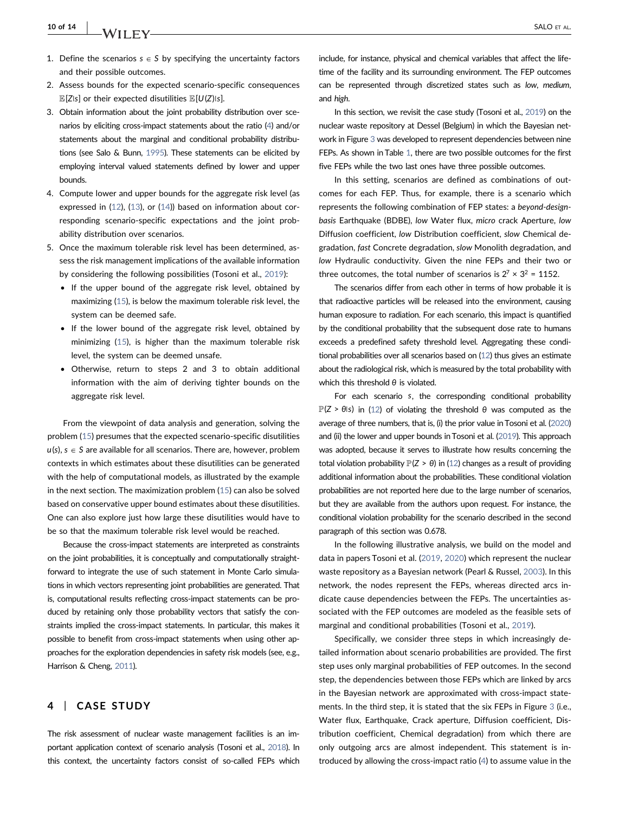- 1. Define the scenarios  $s \in S$  by specifying the uncertainty factors and their possible outcomes.
- 2. Assess bounds for the expected scenario-specific consequences  $\mathbb{E}[Z|s]$  or their expected disutilities  $\mathbb{E}[U(Z)|s]$ .
- 3. Obtain information about the joint probability distribution over scenarios by eliciting cross‐impact statements about the ratio ([4](#page-6-1)) and/or statements about the marginal and conditional probability distributions (see Salo & Bunn, [1995](#page-14-6)). These statements can be elicited by employing interval valued statements defined by lower and upper bounds.
- 4. Compute lower and upper bounds for the aggregate risk level (as expressed in [\(12\)](#page-9-1), ([13\)](#page-9-2), or ([14\)](#page-9-3)) based on information about corresponding scenario‐specific expectations and the joint probability distribution over scenarios.
- 5. Once the maximum tolerable risk level has been determined, assess the risk management implications of the available information by considering the following possibilities (Tosoni et al., [2019](#page-14-34)):
	- If the upper bound of the aggregate risk level, obtained by maximizing [\(15](#page-9-4)), is below the maximum tolerable risk level, the system can be deemed safe.
	- If the lower bound of the aggregate risk level, obtained by minimizing ([15\)](#page-9-4), is higher than the maximum tolerable risk level, the system can be deemed unsafe.
	- Otherwise, return to steps 2 and 3 to obtain additional information with the aim of deriving tighter bounds on the aggregate risk level.

From the viewpoint of data analysis and generation, solving the problem ([15](#page-9-4)) presumes that the expected scenario‐specific disutilities  $u(s)$ ,  $s \in S$  are available for all scenarios. There are, however, problem contexts in which estimates about these disutilities can be generated with the help of computational models, as illustrated by the example in the next section. The maximization problem [\(15\)](#page-9-4) can also be solved based on conservative upper bound estimates about these disutilities. One can also explore just how large these disutilities would have to be so that the maximum tolerable risk level would be reached.

Because the cross‐impact statements are interpreted as constraints on the joint probabilities, it is conceptually and computationally straightforward to integrate the use of such statement in Monte Carlo simulations in which vectors representing joint probabilities are generated. That is, computational results reflecting cross-impact statements can be produced by retaining only those probability vectors that satisfy the constraints implied the cross-impact statements. In particular, this makes it possible to benefit from cross-impact statements when using other approaches for the exploration dependencies in safety risk models (see, e.g., Harrison & Cheng, [2011](#page-13-19)).

#### <span id="page-10-0"></span>4 | CASE STUDY

The risk assessment of nuclear waste management facilities is an important application context of scenario analysis (Tosoni et al., [2018](#page-14-9)). In this context, the uncertainty factors consist of so-called FEPs which include, for instance, physical and chemical variables that affect the lifetime of the facility and its surrounding environment. The FEP outcomes can be represented through discretized states such as low, medium, and high.

In this section, we revisit the case study (Tosoni et al., [2019](#page-14-34)) on the nuclear waste repository at Dessel (Belgium) in which the Bayesian network in Figure [3](#page-11-0) was developed to represent dependencies between nine FEPs. As shown in Table [1](#page-11-1), there are two possible outcomes for the first five FEPs while the two last ones have three possible outcomes.

In this setting, scenarios are defined as combinations of outcomes for each FEP. Thus, for example, there is a scenario which represents the following combination of FEP states: a beyond‐design‐ basis Earthquake (BDBE), low Water flux, micro crack Aperture, low Diffusion coefficient, low Distribution coefficient, slow Chemical degradation, fast Concrete degradation, slow Monolith degradation, and low Hydraulic conductivity. Given the nine FEPs and their two or three outcomes, the total number of scenarios is  $2^7 \times 3^2 = 1152$ .

The scenarios differ from each other in terms of how probable it is that radioactive particles will be released into the environment, causing human exposure to radiation. For each scenario, this impact is quantified by the conditional probability that the subsequent dose rate to humans exceeds a predefined safety threshold level. Aggregating these conditional probabilities over all scenarios based on ([12\)](#page-9-1) thus gives an estimate about the radiological risk, which is measured by the total probability with which this threshold *θ* is violated.

For each scenario *s*, the corresponding conditional probability  $\mathbb{P}(Z > \theta \text{ls})$  in ([12](#page-9-1)) of violating the threshold  $\theta$  was computed as the average of three numbers, that is, (i) the prior value in Tosoni et al. [\(2020](#page-14-35)) and (ii) the lower and upper bounds in Tosoni et al. [\(2019\)](#page-14-34). This approach was adopted, because it serves to illustrate how results concerning the total violation probability  $\mathbb{P}(Z > \theta)$  in [\(12\)](#page-9-1) changes as a result of providing additional information about the probabilities. These conditional violation probabilities are not reported here due to the large number of scenarios, but they are available from the authors upon request. For instance, the conditional violation probability for the scenario described in the second paragraph of this section was 0.678.

In the following illustrative analysis, we build on the model and data in papers Tosoni et al. [\(2019,](#page-14-34) [2020\)](#page-14-35) which represent the nuclear waste repository as a Bayesian network (Pearl & Russel, [2003](#page-14-36)). In this network, the nodes represent the FEPs, whereas directed arcs indicate cause dependencies between the FEPs. The uncertainties associated with the FEP outcomes are modeled as the feasible sets of marginal and conditional probabilities (Tosoni et al., [2019](#page-14-34)).

Specifically, we consider three steps in which increasingly detailed information about scenario probabilities are provided. The first step uses only marginal probabilities of FEP outcomes. In the second step, the dependencies between those FEPs which are linked by arcs in the Bayesian network are approximated with cross-impact statements. In the third step, it is stated that the six FEPs in Figure [3](#page-11-0) (i.e., Water flux, Earthquake, Crack aperture, Diffusion coefficient, Distribution coefficient, Chemical degradation) from which there are only outgoing arcs are almost independent. This statement is introduced by allowing the cross‐impact ratio ([4](#page-6-1)) to assume value in the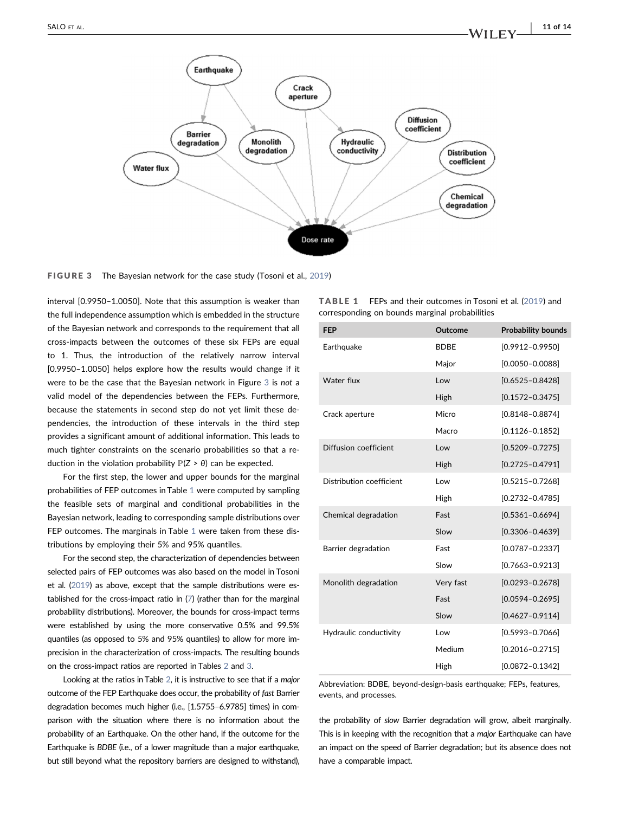<span id="page-11-0"></span>

FIGURE 3 The Bayesian network for the case study (Tosoni et al., [2019\)](#page-14-34)

interval [0.9950–1.0050]. Note that this assumption is weaker than the full independence assumption which is embedded in the structure of the Bayesian network and corresponds to the requirement that all cross‐impacts between the outcomes of these six FEPs are equal to 1. Thus, the introduction of the relatively narrow interval [0.9950–1.0050] helps explore how the results would change if it were to be the case that the Bayesian network in Figure [3](#page-11-0) is not a valid model of the dependencies between the FEPs. Furthermore, because the statements in second step do not yet limit these dependencies, the introduction of these intervals in the third step provides a significant amount of additional information. This leads to much tighter constraints on the scenario probabilities so that a reduction in the violation probability  $\mathbb{P}(Z > \theta)$  can be expected.

For the first step, the lower and upper bounds for the marginal probabilities of FEP outcomes in Table [1](#page-11-1) were computed by sampling the feasible sets of marginal and conditional probabilities in the Bayesian network, leading to corresponding sample distributions over FEP outcomes. The marginals in Table [1](#page-11-1) were taken from these distributions by employing their 5% and 95% quantiles.

For the second step, the characterization of dependencies between selected pairs of FEP outcomes was also based on the model in Tosoni et al. [\(2019](#page-14-34)) as above, except that the sample distributions were established for the cross‐impact ratio in [\(7\)](#page-7-0) (rather than for the marginal probability distributions). Moreover, the bounds for cross-impact terms were established by using the more conservative 0.5% and 99.5% quantiles (as opposed to 5% and 95% quantiles) to allow for more imprecision in the characterization of cross-impacts. The resulting bounds on the cross‐impact ratios are reported in Tables [2](#page-12-0) and [3](#page-12-1).

Looking at the ratios in Table [2](#page-12-0), it is instructive to see that if a major outcome of the FEP Earthquake does occur, the probability of fast Barrier degradation becomes much higher (i.e., [1.5755–6.9785] times) in comparison with the situation where there is no information about the probability of an Earthquake. On the other hand, if the outcome for the Earthquake is BDBE (i.e., of a lower magnitude than a major earthquake, but still beyond what the repository barriers are designed to withstand),

<span id="page-11-1"></span>

| $TABLE 1$ FEPs and their outcomes in Tosoni et al. (2019) and |  |
|---------------------------------------------------------------|--|
| corresponding on bounds marginal probabilities                |  |

| <b>FEP</b>               | <b>Outcome</b> | <b>Probability bounds</b> |
|--------------------------|----------------|---------------------------|
| Earthquake               | <b>BDBE</b>    | $[0.9912 - 0.9950]$       |
|                          | Major          | $[0.0050 - 0.0088]$       |
| Water flux               | Low            | $[0.6525 - 0.8428]$       |
|                          | High           | $[0.1572 - 0.3475]$       |
| Crack aperture           | Micro          | $[0.8148 - 0.8874]$       |
|                          | Macro          | $[0.1126 - 0.1852]$       |
| Diffusion coefficient    | Low            | $[0.5209 - 0.7275]$       |
|                          | High           | $[0.2725 - 0.4791]$       |
| Distribution coefficient | Low            | $[0.5215 - 0.7268]$       |
|                          | High           | $[0.2732 - 0.4785]$       |
| Chemical degradation     | Fast           | $[0.5361 - 0.6694]$       |
|                          | Slow           | $[0.3306 - 0.4639]$       |
| Barrier degradation      | Fast           | $[0.0787 - 0.2337]$       |
|                          | Slow           | $[0.7663 - 0.9213]$       |
| Monolith degradation     | Very fast      | $[0.0293 - 0.2678]$       |
|                          | Fast           | $[0.0594 - 0.2695]$       |
|                          | Slow           | $[0.4627 - 0.9114]$       |
| Hydraulic conductivity   | Low            | $[0.5993 - 0.7066]$       |
|                          | Medium         | $[0.2016 - 0.2715]$       |
|                          | High           | $[0.0872 - 0.1342]$       |

Abbreviation: BDBE, beyond‐design‐basis earthquake; FEPs, features, events, and processes.

the probability of slow Barrier degradation will grow, albeit marginally. This is in keeping with the recognition that a major Earthquake can have an impact on the speed of Barrier degradation; but its absence does not have a comparable impact.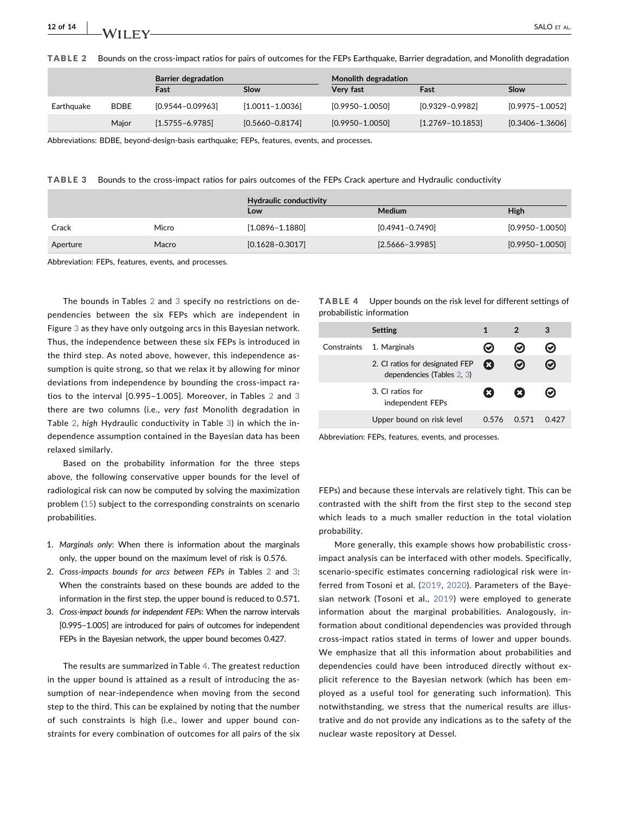$12$  of  $14$  | M/H EV SALO ET AL.

<span id="page-12-0"></span>TABLE 2 Bounds on the cross‐impact ratios for pairs of outcomes for the FEPs Earthquake, Barrier degradation, and Monolith degradation

|            |             | <b>Barrier degradation</b> |                     | Monolith degradation |                      |                     |
|------------|-------------|----------------------------|---------------------|----------------------|----------------------|---------------------|
|            |             | Fast                       | Slow                | Very fast            | Fast                 | Slow                |
| Earthquake | <b>BDBE</b> | $[0.9544 - 0.09963]$       | $[1.0011 - 1.0036]$ | $[0.9950 - 1.0050]$  | $[0.9329 - 0.9982]$  | $[0.9975 - 1.0052]$ |
|            | Maior       | $[1.5755 - 6.9785]$        | $[0.5660 - 0.8174]$ | $[0.9950 - 1.0050]$  | $[1.2769 - 10.1853]$ | $[0.3406 - 1.3606]$ |

Abbreviations: BDBE, beyond‐design‐basis earthquake; FEPs, features, events, and processes.

<span id="page-12-1"></span>TABLE 3 Bounds to the cross‐impact ratios for pairs outcomes of the FEPs Crack aperture and Hydraulic conductivity

|          |       | Hydraulic conductivity<br>Low | Medium              | High                |
|----------|-------|-------------------------------|---------------------|---------------------|
| Crack    | Micro | $[1.0896 - 1.1880]$           | $[0.4941 - 0.7490]$ | $[0.9950 - 1.0050]$ |
| Aperture | Macro | $[0.1628 - 0.3017]$           | $[2.5666 - 3.9985]$ | $[0.9950 - 1.0050]$ |

Abbreviation: FEPs, features, events, and processes.

The bounds in Tables [2](#page-12-0) and [3](#page-12-1) specify no restrictions on dependencies between the six FEPs which are independent in Figure [3](#page-11-0) as they have only outgoing arcs in this Bayesian network. Thus, the independence between these six FEPs is introduced in the third step. As noted above, however, this independence assumption is quite strong, so that we relax it by allowing for minor deviations from independence by bounding the cross‐impact ratios to the interval [0.995–1.005]. Moreover, in Tables [2](#page-12-0) and [3](#page-12-1) there are two columns (i.e., very fast Monolith degradation in Table [2](#page-12-0), high Hydraulic conductivity in Table [3\)](#page-12-1) in which the independence assumption contained in the Bayesian data has been relaxed similarly.

Based on the probability information for the three steps above, the following conservative upper bounds for the level of radiological risk can now be computed by solving the maximization problem ([15](#page-9-4)) subject to the corresponding constraints on scenario probabilities.

- 1. Marginals only: When there is information about the marginals only, the upper bound on the maximum level of risk is 0.576.
- [2](#page-12-0). Cross-impacts bounds for arcs between FEPs in Tables 2 and [3](#page-12-1): When the constraints based on these bounds are added to the information in the first step, the upper bound is reduced to 0.571.
- 3. Cross-impact bounds for independent FEPs: When the narrow intervals [0.995–1.005] are introduced for pairs of outcomes for independent FEPs in the Bayesian network, the upper bound becomes 0.427.

The results are summarized in Table [4.](#page-12-2) The greatest reduction in the upper bound is attained as a result of introducing the assumption of near-independence when moving from the second step to the third. This can be explained by noting that the number of such constraints is high (i.e., lower and upper bound constraints for every combination of outcomes for all pairs of the six

<span id="page-12-2"></span>TABLE 4 Upper bounds on the risk level for different settings of probabilistic information

|             | <b>Setting</b>                                                |       |       | з     |
|-------------|---------------------------------------------------------------|-------|-------|-------|
| Constraints | 1. Marginals                                                  |       | Ø     | V.    |
|             | 2. CI ratios for designated FEP<br>dependencies (Tables 2, 3) | Ω     | ∞     | ⊗     |
|             | 3. CI ratios for<br>independent FEPs                          |       | x     | Ø     |
|             | Upper bound on risk level                                     | 0.576 | O 571 | በ 427 |

Abbreviation: FEPs, features, events, and processes.

FEPs) and because these intervals are relatively tight. This can be contrasted with the shift from the first step to the second step which leads to a much smaller reduction in the total violation probability.

More generally, this example shows how probabilistic crossimpact analysis can be interfaced with other models. Specifically, scenario‐specific estimates concerning radiological risk were inferred from Tosoni et al. ([2019,](#page-14-34) [2020](#page-14-35)). Parameters of the Bayesian network (Tosoni et al., [2019\)](#page-14-34) were employed to generate information about the marginal probabilities. Analogously, information about conditional dependencies was provided through cross‐impact ratios stated in terms of lower and upper bounds. We emphasize that all this information about probabilities and dependencies could have been introduced directly without explicit reference to the Bayesian network (which has been employed as a useful tool for generating such information). This notwithstanding, we stress that the numerical results are illustrative and do not provide any indications as to the safety of the nuclear waste repository at Dessel.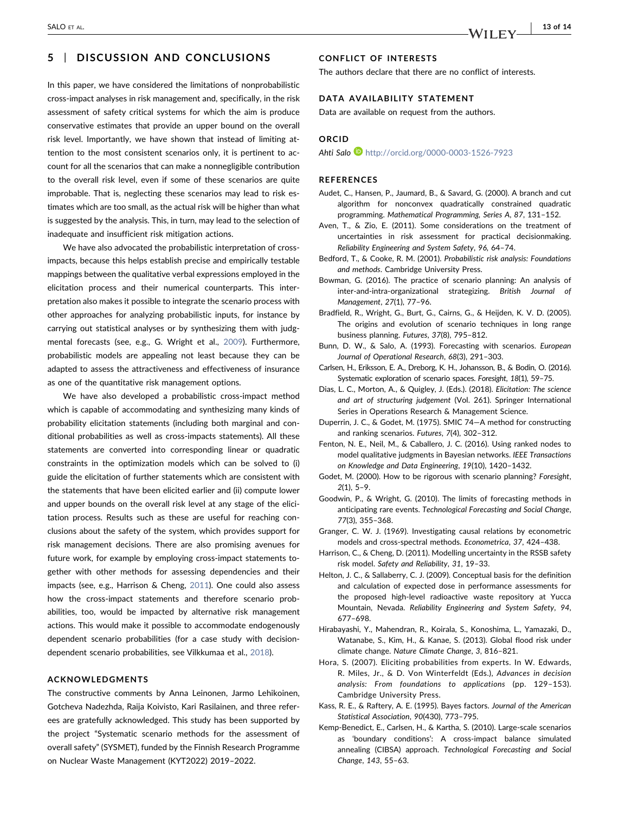## <span id="page-13-11"></span>5 | DISCUSSION AND CONCLUSIONS

## In this paper, we have considered the limitations of nonprobabilistic cross‐impact analyses in risk management and, specifically, in the risk assessment of safety critical systems for which the aim is produce conservative estimates that provide an upper bound on the overall risk level. Importantly, we have shown that instead of limiting attention to the most consistent scenarios only, it is pertinent to account for all the scenarios that can make a nonnegligible contribution to the overall risk level, even if some of these scenarios are quite improbable. That is, neglecting these scenarios may lead to risk estimates which are too small, as the actual risk will be higher than what is suggested by the analysis. This, in turn, may lead to the selection of inadequate and insufficient risk mitigation actions.

We have also advocated the probabilistic interpretation of crossimpacts, because this helps establish precise and empirically testable mappings between the qualitative verbal expressions employed in the elicitation process and their numerical counterparts. This interpretation also makes it possible to integrate the scenario process with other approaches for analyzing probabilistic inputs, for instance by carrying out statistical analyses or by synthesizing them with judgmental forecasts (see, e.g., G. Wright et al., [2009\)](#page-14-37). Furthermore, probabilistic models are appealing not least because they can be adapted to assess the attractiveness and effectiveness of insurance as one of the quantitative risk management options.

We have also developed a probabilistic cross-impact method which is capable of accommodating and synthesizing many kinds of probability elicitation statements (including both marginal and conditional probabilities as well as cross‐impacts statements). All these statements are converted into corresponding linear or quadratic constraints in the optimization models which can be solved to (i) guide the elicitation of further statements which are consistent with the statements that have been elicited earlier and (ii) compute lower and upper bounds on the overall risk level at any stage of the elicitation process. Results such as these are useful for reaching conclusions about the safety of the system, which provides support for risk management decisions. There are also promising avenues for future work, for example by employing cross‐impact statements together with other methods for assessing dependencies and their impacts (see, e.g., Harrison & Cheng, [2011](#page-13-19)). One could also assess how the cross-impact statements and therefore scenario probabilities, too, would be impacted by alternative risk management actions. This would make it possible to accommodate endogenously dependent scenario probabilities (for a case study with decision‐ dependent scenario probabilities, see Vilkkumaa et al., [2018](#page-14-38)).

#### ACKNOWLEDGMENTS

The constructive comments by Anna Leinonen, Jarmo Lehikoinen, Gotcheva Nadezhda, Raija Koivisto, Kari Rasilainen, and three referees are gratefully acknowledged. This study has been supported by the project "Systematic scenario methods for the assessment of overall safety" (SYSMET), funded by the Finnish Research Programme on Nuclear Waste Management (KYT2022) 2019–2022.

## CONFLICT OF INTERESTS

The authors declare that there are no conflict of interests.

#### DATA AVAILABILITY STATEMENT

Data are available on request from the authors.

#### **ORCID**

Ahti Salo D <http://orcid.org/0000-0003-1526-7923>

#### REFERENCES

- <span id="page-13-18"></span>Audet, C., Hansen, P., Jaumard, B., & Savard, G. (2000). A branch and cut algorithm for nonconvex quadratically constrained quadratic programming. Mathematical Programming, Series A, 87, 131–152.
- <span id="page-13-5"></span>Aven, T., & Zio, E. (2011). Some considerations on the treatment of uncertainties in risk assessment for practical decisionmaking. Reliability Engineering and System Safety, 96, 64–74.
- <span id="page-13-4"></span>Bedford, T., & Cooke, R. M. (2001). Probabilistic risk analysis: Foundations and methods. Cambridge University Press.
- <span id="page-13-13"></span>Bowman, G. (2016). The practice of scenario planning: An analysis of inter-and-intra-organizational strategizing. British Journal of Management, 27(1), 77–96.
- <span id="page-13-12"></span>Bradfield, R., Wright, G., Burt, G., Cairns, G., & Heijden, K. V. D. (2005). The origins and evolution of scenario techniques in long range business planning. Futures, 37(8), 795–812.
- <span id="page-13-0"></span>Bunn, D. W., & Salo, A. (1993). Forecasting with scenarios. European Journal of Operational Research, 68(3), 291–303.
- <span id="page-13-1"></span>Carlsen, H., Eriksson, E. A., Dreborg, K. H., Johansson, B., & Bodin, O. (2016). Systematic exploration of scenario spaces. Foresight, 18(1), 59–75.
- <span id="page-13-9"></span>Dias, L. C., Morton, A., & Quigley, J. (Eds.). (2018). Elicitation: The science and art of structuring judgement (Vol. 261). Springer International Series in Operations Research & Management Science.
- <span id="page-13-8"></span>Duperrin, J. C., & Godet, M. (1975). SMIC 74—A method for constructing and ranking scenarios. Futures, 7(4), 302–312.
- <span id="page-13-10"></span>Fenton, N. E., Neil, M., & Caballero, J. C. (2016). Using ranked nodes to model qualitative judgments in Bayesian networks. IEEE Transactions on Knowledge and Data Engineering, 19(10), 1420–1432.
- <span id="page-13-14"></span>Godet, M. (2000). How to be rigorous with scenario planning? Foresight, 2(1), 5–9.
- <span id="page-13-3"></span>Goodwin, P., & Wright, G. (2010). The limits of forecasting methods in anticipating rare events. Technological Forecasting and Social Change, 77(3), 355–368.
- <span id="page-13-15"></span>Granger, C. W. J. (1969). Investigating causal relations by econometric models and cross‐spectral methods. Econometrica, 37, 424–438.
- <span id="page-13-19"></span>Harrison, C., & Cheng, D. (2011). Modelling uncertainty in the RSSB safety risk model. Safety and Reliability, 31, 19–33.
- <span id="page-13-6"></span>Helton, J. C., & Sallaberry, C. J. (2009). Conceptual basis for the definition and calculation of expected dose in performance assessments for the proposed high‐level radioactive waste repository at Yucca Mountain, Nevada. Reliability Engineering and System Safety, 94, 677–698.
- <span id="page-13-2"></span>Hirabayashi, Y., Mahendran, R., Koirala, S., Konoshima, L., Yamazaki, D., Watanabe, S., Kim, H., & Kanae, S. (2013). Global flood risk under climate change. Nature Climate Change, 3, 816–821.
- <span id="page-13-17"></span>Hora, S. (2007). Eliciting probabilities from experts. In W. Edwards, R. Miles, Jr., & D. Von Winterfeldt (Eds.), Advances in decision analysis: From foundations to applications (pp. 129–153). Cambridge University Press.
- <span id="page-13-16"></span>Kass, R. E., & Raftery, A. E. (1995). Bayes factors. Journal of the American Statistical Association, 90(430), 773–795.
- <span id="page-13-7"></span>Kemp‐Benedict, E., Carlsen, H., & Kartha, S. (2010). Large‐scale scenarios as 'boundary conditions': A cross‐impact balance simulated annealing (CIBSA) approach. Technological Forecasting and Social Change, 143, 55–63.